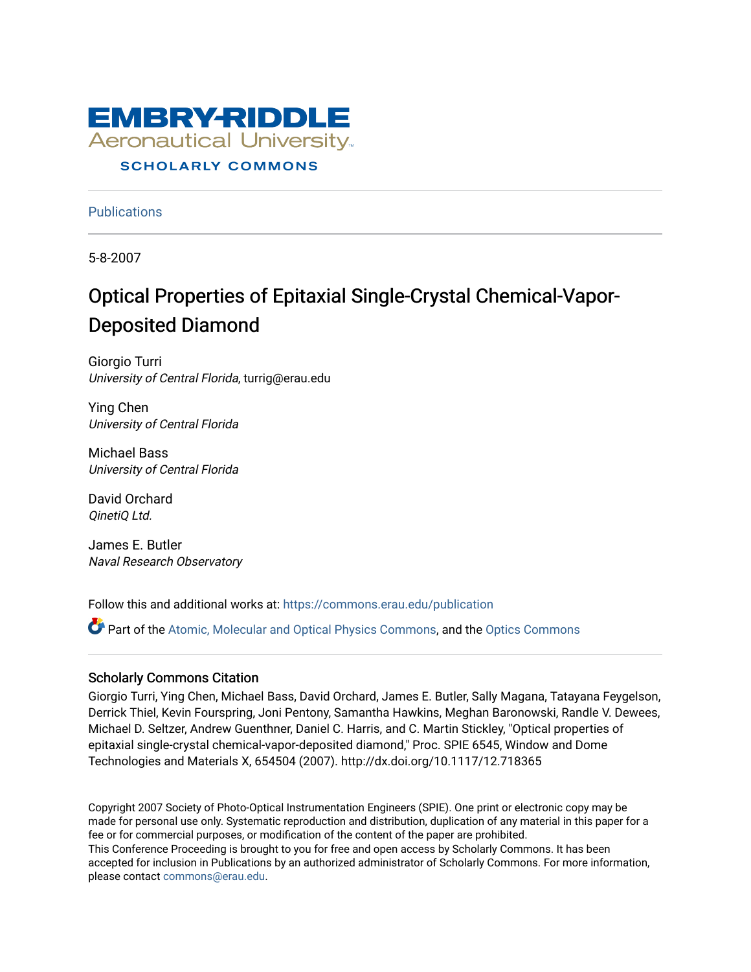

**Publications** 

5-8-2007

## Optical Properties of Epitaxial Single-Crystal Chemical-Vapor-Deposited Diamond

Giorgio Turri University of Central Florida, turrig@erau.edu

Ying Chen University of Central Florida

Michael Bass University of Central Florida

David Orchard QinetiQ Ltd.

James E. Butler Naval Research Observatory

Follow this and additional works at: [https://commons.erau.edu/publication](https://commons.erau.edu/publication?utm_source=commons.erau.edu%2Fpublication%2F671&utm_medium=PDF&utm_campaign=PDFCoverPages) 

Part of the [Atomic, Molecular and Optical Physics Commons,](http://network.bepress.com/hgg/discipline/195?utm_source=commons.erau.edu%2Fpublication%2F671&utm_medium=PDF&utm_campaign=PDFCoverPages) and the [Optics Commons](http://network.bepress.com/hgg/discipline/204?utm_source=commons.erau.edu%2Fpublication%2F671&utm_medium=PDF&utm_campaign=PDFCoverPages)

#### Scholarly Commons Citation

Giorgio Turri, Ying Chen, Michael Bass, David Orchard, James E. Butler, Sally Magana, Tatayana Feygelson, Derrick Thiel, Kevin Fourspring, Joni Pentony, Samantha Hawkins, Meghan Baronowski, Randle V. Dewees, Michael D. Seltzer, Andrew Guenthner, Daniel C. Harris, and C. Martin Stickley, "Optical properties of epitaxial single-crystal chemical-vapor-deposited diamond," Proc. SPIE 6545, Window and Dome Technologies and Materials X, 654504 (2007). http://dx.doi.org/10.1117/12.718365

Copyright 2007 Society of Photo-Optical Instrumentation Engineers (SPIE). One print or electronic copy may be made for personal use only. Systematic reproduction and distribution, duplication of any material in this paper for a fee or for commercial purposes, or modification of the content of the paper are prohibited. This Conference Proceeding is brought to you for free and open access by Scholarly Commons. It has been accepted for inclusion in Publications by an authorized administrator of Scholarly Commons. For more information, please contact [commons@erau.edu](mailto:commons@erau.edu).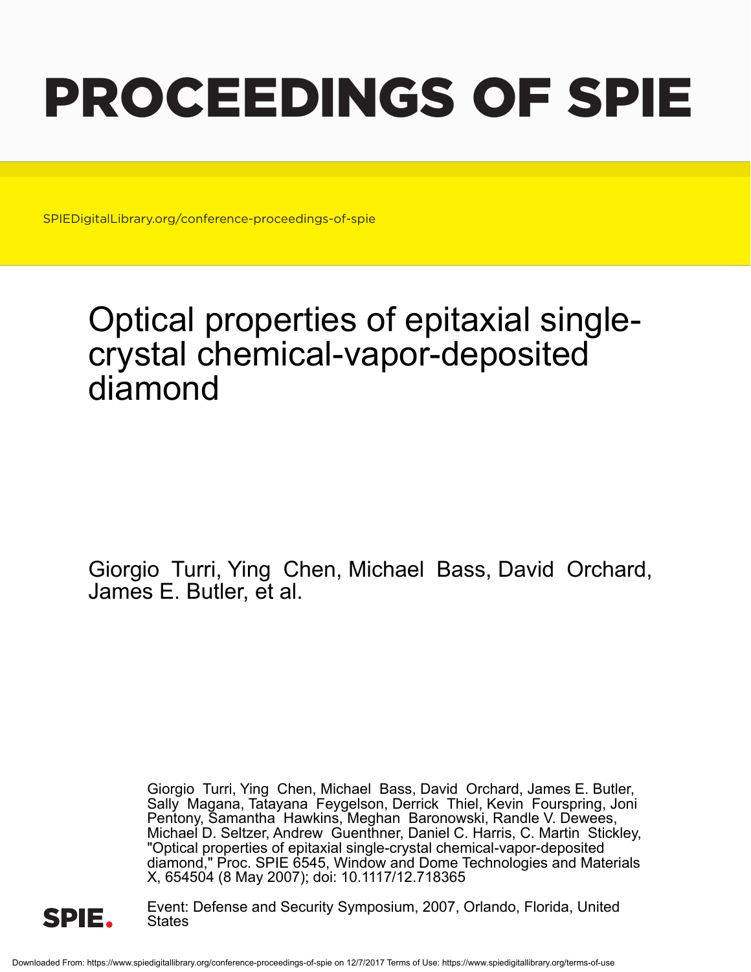# PROCEEDINGS OF SPIE

SPIEDigitalLibrary.org/conference-proceedings-of-spie

## Optical properties of epitaxial singlecrystal chemical-vapor-deposited diamond

Giorgio Turri, Ying Chen, Michael Bass, David Orchard, James E. Butler, et al.

> Giorgio Turri, Ying Chen, Michael Bass, David Orchard, James E. Butler, Sally Magana, Tatayana Feygelson, Derrick Thiel, Kevin Fourspring, Joni Pentony, Samantha Hawkins, Meghan Baronowski, Randle V. Dewees, Michael D. Seltzer, Andrew Guenthner, Daniel C. Harris, C. Martin Stickley, "Optical properties of epitaxial single-crystal chemical-vapor-deposited diamond," Proc. SPIE 6545, Window and Dome Technologies and Materials X, 654504 (8 May 2007); doi: 10.1117/12.718365



Event: Defense and Security Symposium, 2007, Orlando, Florida, United **States**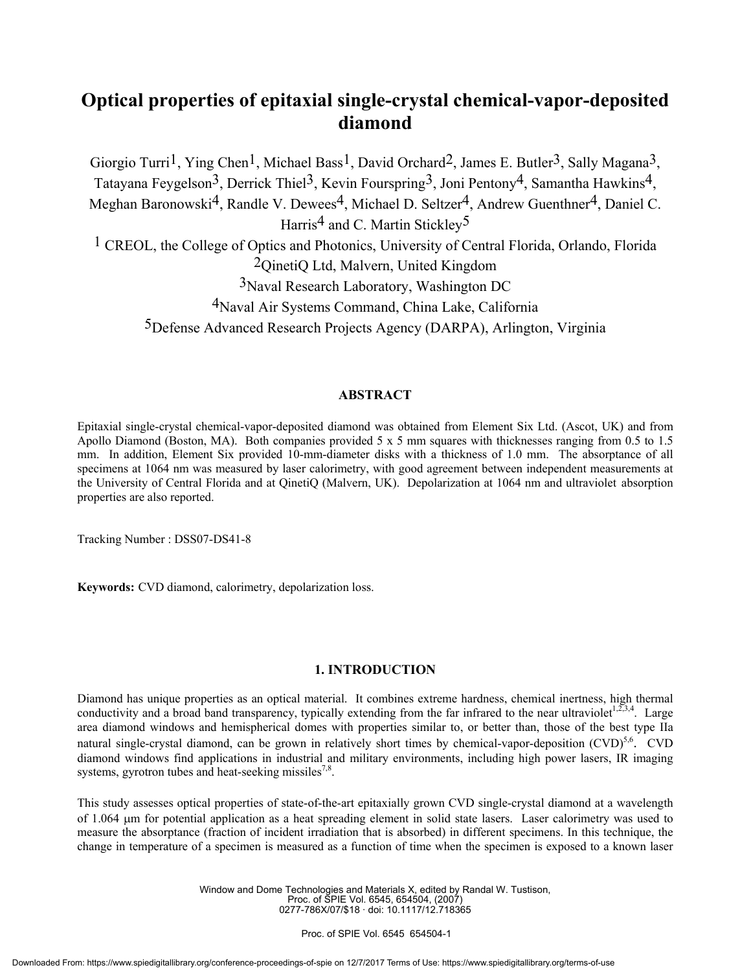### **Optical properties of epitaxial single-crystal chemical-vapor-deposited diamond**

Giorgio Turri<sup>1</sup>, Ying Chen<sup>1</sup>, Michael Bass<sup>1</sup>, David Orchard<sup>2</sup>, James E. Butler<sup>3</sup>, Sally Magana<sup>3</sup>, Tatayana Feygelson<sup>3</sup>, Derrick Thiel<sup>3</sup>, Kevin Fourspring<sup>3</sup>, Joni Pentony<sup>4</sup>, Samantha Hawkins<sup>4</sup>, Meghan Baronowski<sup>4</sup>, Randle V. Dewees<sup>4</sup>, Michael D. Seltzer<sup>4</sup>, Andrew Guenthner<sup>4</sup>, Daniel C. Harris<sup>4</sup> and C. Martin Stickley<sup>5</sup> <sup>1</sup> CREOL, the College of Optics and Photonics, University of Central Florida, Orlando, Florida 2QinetiQ Ltd, Malvern, United Kingdom 3Naval Research Laboratory, Washington DC

4Naval Air Systems Command, China Lake, California 5Defense Advanced Research Projects Agency (DARPA), Arlington, Virginia

#### **ABSTRACT**

Epitaxial single-crystal chemical-vapor-deposited diamond was obtained from Element Six Ltd. (Ascot, UK) and from Apollo Diamond (Boston, MA). Both companies provided 5 x 5 mm squares with thicknesses ranging from 0.5 to 1.5 mm. In addition, Element Six provided 10-mm-diameter disks with a thickness of 1.0 mm. The absorptance of all specimens at 1064 nm was measured by laser calorimetry, with good agreement between independent measurements at the University of Central Florida and at QinetiQ (Malvern, UK). Depolarization at 1064 nm and ultraviolet absorption properties are also reported.

Tracking Number : DSS07-DS41-8

**Keywords:** CVD diamond, calorimetry, depolarization loss.

#### **1. INTRODUCTION**

Diamond has unique properties as an optical material. It combines extreme hardness, chemical inertness, high thermal conductivity and a broad band transparency, typically extending from the far infrared to the near ultraviolet<sup>1,2,3,4</sup>. Large area diamond windows and hemispherical domes with properties similar to, or better than, those of the best type IIa natural single-crystal diamond, can be grown in relatively short times by chemical-vapor-deposition  $(CVD)^{5,6}$ . CVD diamond windows find applications in industrial and military environments, including high power lasers, IR imaging systems, gyrotron tubes and heat-seeking missiles<sup>7,8</sup>.

This study assesses optical properties of state-of-the-art epitaxially grown CVD single-crystal diamond at a wavelength of 1.064 µm for potential application as a heat spreading element in solid state lasers. Laser calorimetry was used to measure the absorptance (fraction of incident irradiation that is absorbed) in different specimens. In this technique, the change in temperature of a specimen is measured as a function of time when the specimen is exposed to a known laser

> Window and Dome Technologies and Materials X, edited by Randal W. Tustison, Proc. of SPIE Vol. 6545, 654504, (2007) 0277-786X/07/\$18 · doi: 10.1117/12.718365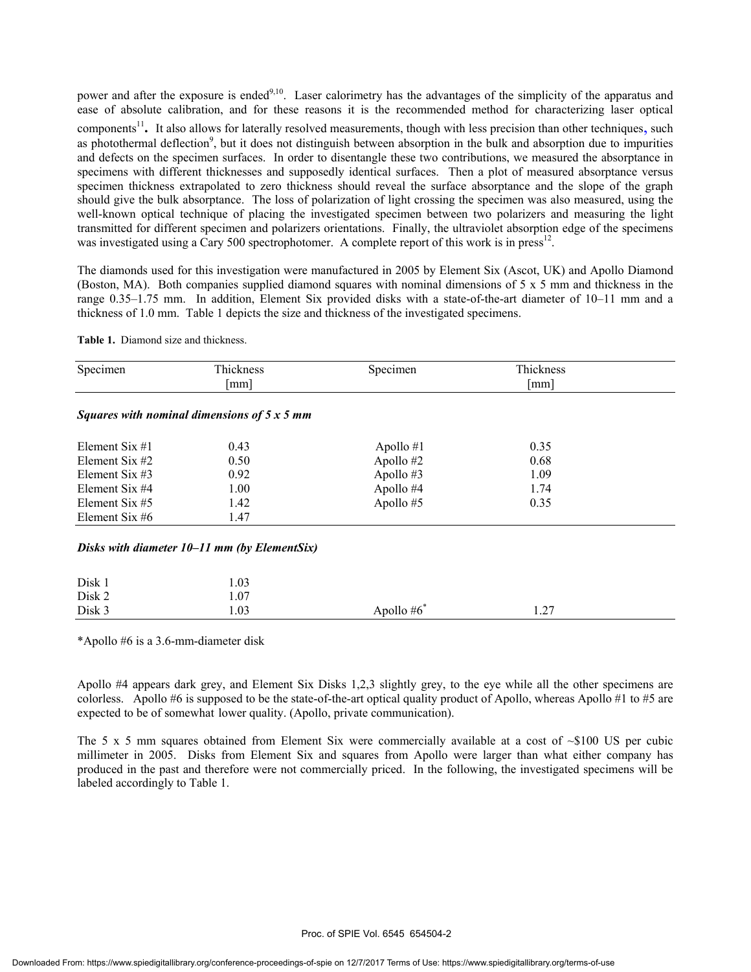power and after the exposure is ended<sup>9,10</sup>. Laser calorimetry has the advantages of the simplicity of the apparatus and ease of absolute calibration, and for these reasons it is the recommended method for characterizing laser optical components<sup>11</sup>. It also allows for laterally resolved measurements, though with less precision than other techniques, such as photothermal deflection<sup>9</sup>, but it does not distinguish between absorption in the bulk and absorption due to impurities and defects on the specimen surfaces. In order to disentangle these two contributions, we measured the absorptance in specimens with different thicknesses and supposedly identical surfaces. Then a plot of measured absorptance versus specimen thickness extrapolated to zero thickness should reveal the surface absorptance and the slope of the graph should give the bulk absorptance. The loss of polarization of light crossing the specimen was also measured, using the well-known optical technique of placing the investigated specimen between two polarizers and measuring the light transmitted for different specimen and polarizers orientations. Finally, the ultraviolet absorption edge of the specimens was investigated using a Cary 500 spectrophotomer. A complete report of this work is in press<sup>12</sup>.

The diamonds used for this investigation were manufactured in 2005 by Element Six (Ascot, UK) and Apollo Diamond (Boston, MA). Both companies supplied diamond squares with nominal dimensions of 5 x 5 mm and thickness in the range 0.35–1.75 mm. In addition, Element Six provided disks with a state-of-the-art diameter of 10–11 mm and a thickness of 1.0 mm. Table 1 depicts the size and thickness of the investigated specimens.

|  | <b>Table 1.</b> Diamond size and thickness. |  |  |
|--|---------------------------------------------|--|--|
|--|---------------------------------------------|--|--|

| Specimen         | Thickness                                          | Specimen      | Thickness            |  |
|------------------|----------------------------------------------------|---------------|----------------------|--|
|                  | $\lceil$ mm $\rceil$                               |               | $\lceil$ mm $\rceil$ |  |
|                  | Squares with nominal dimensions of $5 \times 5$ mm |               |                      |  |
| Element Six #1   | 0.43                                               | Apollo $#1$   | 0.35                 |  |
| Element Six $#2$ | 0.50                                               | Apollo #2     | 0.68                 |  |
| Element Six $#3$ | 0.92                                               | Apollo#3      | 1.09                 |  |
| Element Six #4   | 1.00                                               | Apollo #4     | 1.74                 |  |
| Element Six $#5$ | 1.42                                               | Apollo #5     | 0.35                 |  |
| Element Six $#6$ | 1.47                                               |               |                      |  |
|                  | Disks with diameter $10-11$ mm (by ElementSix)     |               |                      |  |
| Disk 1           | 1.03                                               |               |                      |  |
| Disk 2           | 1.07                                               |               |                      |  |
| Disk 3           | 1.03                                               | Apollo $#6^*$ | 1.27                 |  |

\*Apollo #6 is a 3.6-mm-diameter disk

Apollo #4 appears dark grey, and Element Six Disks 1,2,3 slightly grey, to the eye while all the other specimens are colorless. Apollo #6 is supposed to be the state-of-the-art optical quality product of Apollo, whereas Apollo #1 to #5 are expected to be of somewhat lower quality. (Apollo, private communication).

The 5 x 5 mm squares obtained from Element Six were commercially available at a cost of  $\sim $100$  US per cubic millimeter in 2005. Disks from Element Six and squares from Apollo were larger than what either company has produced in the past and therefore were not commercially priced. In the following, the investigated specimens will be labeled accordingly to Table 1.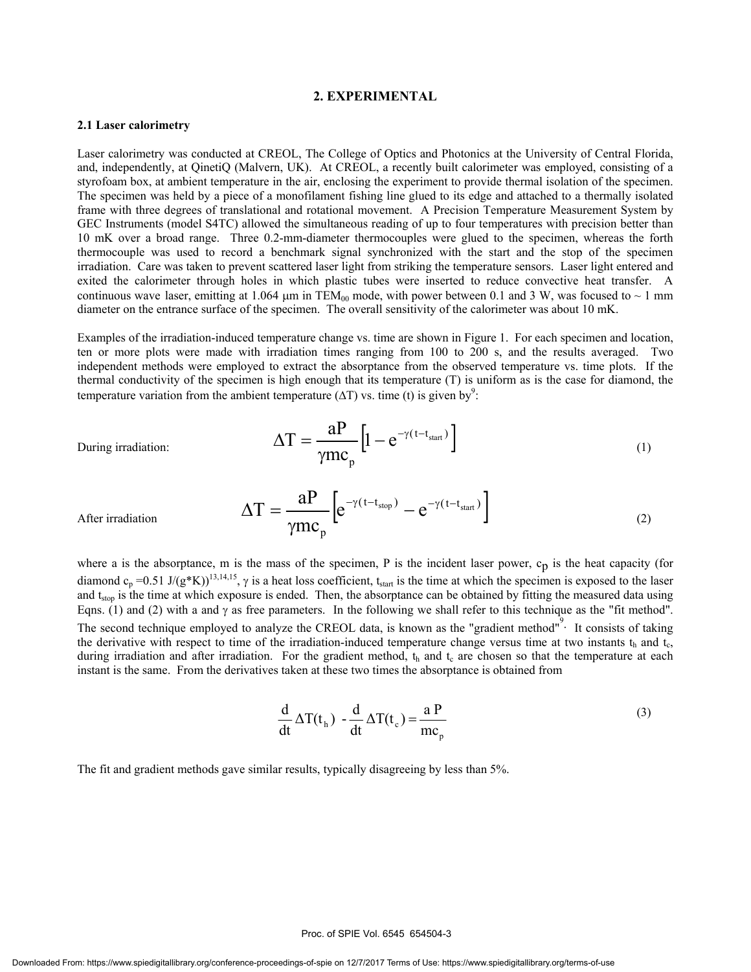#### **2. EXPERIMENTAL**

#### **2.1 Laser calorimetry**

Laser calorimetry was conducted at CREOL, The College of Optics and Photonics at the University of Central Florida, and, independently, at QinetiQ (Malvern, UK). At CREOL, a recently built calorimeter was employed, consisting of a styrofoam box, at ambient temperature in the air, enclosing the experiment to provide thermal isolation of the specimen. The specimen was held by a piece of a monofilament fishing line glued to its edge and attached to a thermally isolated frame with three degrees of translational and rotational movement. A Precision Temperature Measurement System by GEC Instruments (model S4TC) allowed the simultaneous reading of up to four temperatures with precision better than 10 mK over a broad range. Three 0.2-mm-diameter thermocouples were glued to the specimen, whereas the forth thermocouple was used to record a benchmark signal synchronized with the start and the stop of the specimen irradiation. Care was taken to prevent scattered laser light from striking the temperature sensors. Laser light entered and exited the calorimeter through holes in which plastic tubes were inserted to reduce convective heat transfer. A continuous wave laser, emitting at 1.064  $\mu$ m in TEM<sub>00</sub> mode, with power between 0.1 and 3 W, was focused to  $\sim$  1 mm diameter on the entrance surface of the specimen. The overall sensitivity of the calorimeter was about 10 mK.

Examples of the irradiation-induced temperature change vs. time are shown in Figure 1. For each specimen and location, ten or more plots were made with irradiation times ranging from 100 to 200 s, and the results averaged. Two independent methods were employed to extract the absorptance from the observed temperature vs. time plots. If the thermal conductivity of the specimen is high enough that its temperature (T) is uniform as is the case for diamond, the temperature variation from the ambient temperature ( $\Delta T$ ) vs. time (t) is given by<sup>9</sup>:

During irradiation: 
$$
\Delta T = \frac{aP}{\gamma mc_p} \left[ 1 - e^{-\gamma (t - t_{start})} \right]
$$
 (1)

 $T = \frac{aP}{\gamma} \left[ e^{-\gamma (t - t_{\text{stop}})} - e^{-\gamma (t - t_{\text{start}})} \right]$ 

After irradiation  $\Delta T = \frac{aP}{\gamma mc_n} \left[ e^{-\gamma (t - t_{stop})} - e^{-\gamma (t - t_{start})} \right]$ 

where a is the absorbance, m is the mass of the specimen, P is the incident laser power, 
$$
c_p
$$
 is the heat capacity (for diamond  $c_p = 0.51 \text{ J/(g*K)})^{13,14,15}$ ,  $\gamma$  is a heat loss coefficient,  $t_{start}$  is the time at which the specimen is exposed to the laser and  $t_{stop}$  is the time at which exposure is ended. Then, the absorbance can be obtained by fitting the measured data using Eqns. (1) and (2) with a and  $\gamma$  as free parameters. In the following we shall refer to this technique as the "fit method". The second technique employed to analyze the CREOL data, is known as the "gradient method"'. It consists of taking the derivative with respect to time of the irradiation-induced temperature change versus time at two instants  $t_h$  and  $t_c$ , during irradiation and after irradiation. For the gradient method,  $t_h$  and  $t_c$  are chosen so that the temperature at each instant is the same. From the derivatives taken at these two times the absorbance is obtained from

 $e^{-\gamma(\tau-\tau_{stop})}-e$ 

p

mc

$$
\frac{d}{dt} \Delta T(t_h) - \frac{d}{dt} \Delta T(t_c) = \frac{a P}{mc_p}
$$
 (3)

The fit and gradient methods gave similar results, typically disagreeing by less than 5%.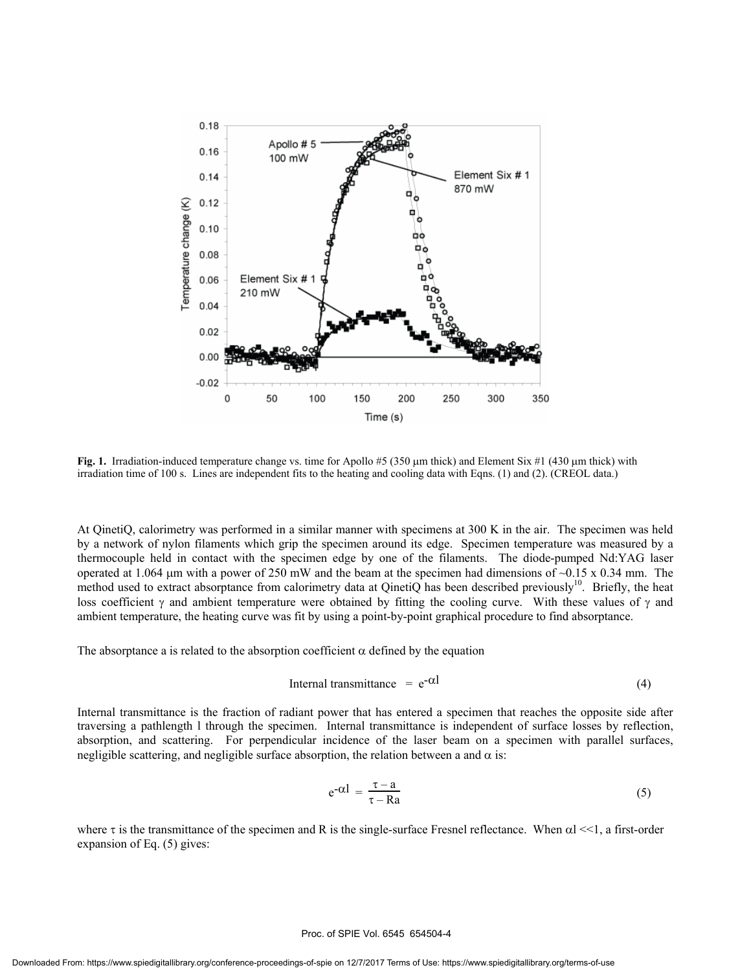

**Fig. 1.** Irradiation-induced temperature change vs. time for Apollo #5 (350 µm thick) and Element Six #1 (430 µm thick) with irradiation time of 100 s. Lines are independent fits to the heating and cooling data with Eqns. (1) and (2). (CREOL data.)

At QinetiQ, calorimetry was performed in a similar manner with specimens at 300 K in the air. The specimen was held by a network of nylon filaments which grip the specimen around its edge. Specimen temperature was measured by a thermocouple held in contact with the specimen edge by one of the filaments. The diode-pumped Nd:YAG laser operated at 1.064  $\mu$ m with a power of 250 mW and the beam at the specimen had dimensions of  $\sim$ 0.15 x 0.34 mm. The method used to extract absorptance from calorimetry data at QinetiQ has been described previously<sup>10</sup>. Briefly, the heat loss coefficient  $\gamma$  and ambient temperature were obtained by fitting the cooling curve. With these values of  $\gamma$  and ambient temperature, the heating curve was fit by using a point-by-point graphical procedure to find absorptance.

The absorptance a is related to the absorption coefficient  $\alpha$  defined by the equation

$$
Internal transmittance = e^{-\alpha l} \tag{4}
$$

Internal transmittance is the fraction of radiant power that has entered a specimen that reaches the opposite side after traversing a pathlength l through the specimen. Internal transmittance is independent of surface losses by reflection, absorption, and scattering. For perpendicular incidence of the laser beam on a specimen with parallel surfaces, negligible scattering, and negligible surface absorption, the relation between a and  $\alpha$  is:

$$
e^{-\alpha l} = \frac{\tau - a}{\tau - Ra} \tag{5}
$$

where  $\tau$  is the transmittance of the specimen and R is the single-surface Fresnel reflectance. When  $\alpha$ l <<1, a first-order expansion of Eq. (5) gives:

#### Proc. of SPIE Vol. 6545 654504-4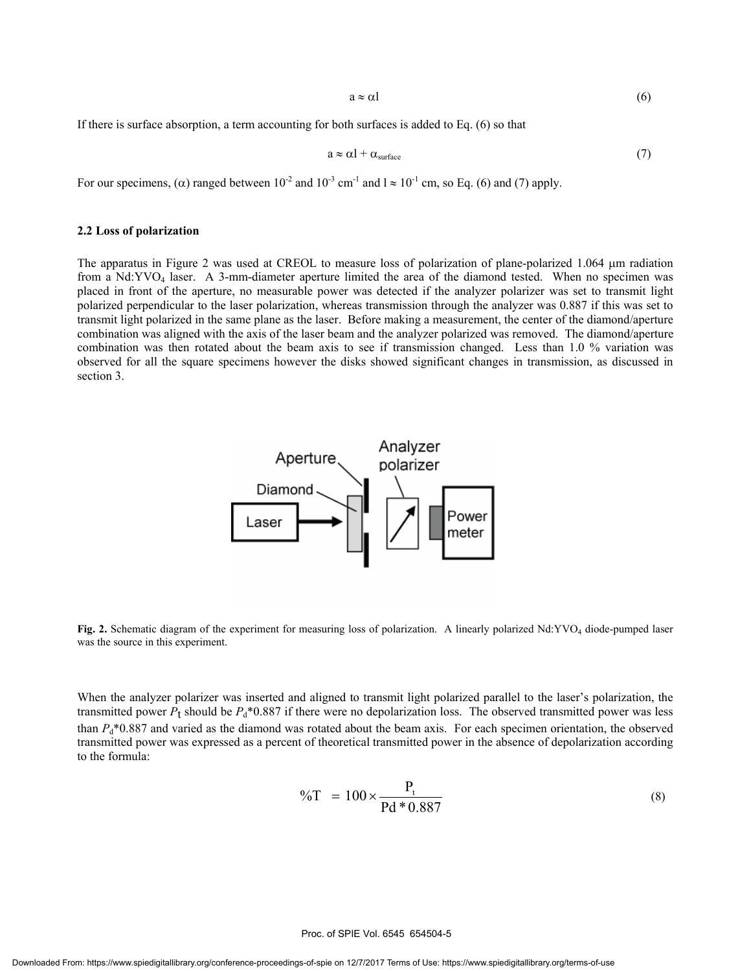$a \approx \alpha l$  (6)

If there is surface absorption, a term accounting for both surfaces is added to Eq. (6) so that

$$
a \approx \alpha l + \alpha_{\text{surface}} \tag{7}
$$

For our specimens, ( $\alpha$ ) ranged between 10<sup>-2</sup> and 10<sup>-3</sup> cm<sup>-1</sup> and  $l \approx 10^{-1}$  cm, so Eq. (6) and (7) apply.

#### **2.2 Loss of polarization**

The apparatus in Figure 2 was used at CREOL to measure loss of polarization of plane-polarized 1.064  $\mu$ m radiation from a Nd:YVO4 laser. A 3-mm-diameter aperture limited the area of the diamond tested. When no specimen was placed in front of the aperture, no measurable power was detected if the analyzer polarizer was set to transmit light polarized perpendicular to the laser polarization, whereas transmission through the analyzer was 0.887 if this was set to transmit light polarized in the same plane as the laser. Before making a measurement, the center of the diamond/aperture combination was aligned with the axis of the laser beam and the analyzer polarized was removed. The diamond/aperture combination was then rotated about the beam axis to see if transmission changed. Less than 1.0 % variation was observed for all the square specimens however the disks showed significant changes in transmission, as discussed in section 3.



**Fig. 2.** Schematic diagram of the experiment for measuring loss of polarization. A linearly polarized Nd:YVO4 diode-pumped laser was the source in this experiment.

When the analyzer polarizer was inserted and aligned to transmit light polarized parallel to the laser's polarization, the transmitted power  $P_t$  should be  $P_d*0.887$  if there were no depolarization loss. The observed transmitted power was less than  $P<sub>d</sub> * 0.887$  and varied as the diamond was rotated about the beam axis. For each specimen orientation, the observed transmitted power was expressed as a percent of theoretical transmitted power in the absence of depolarization according to the formula:

$$
\%T = 100 \times \frac{P_t}{Pd * 0.887}
$$
 (8)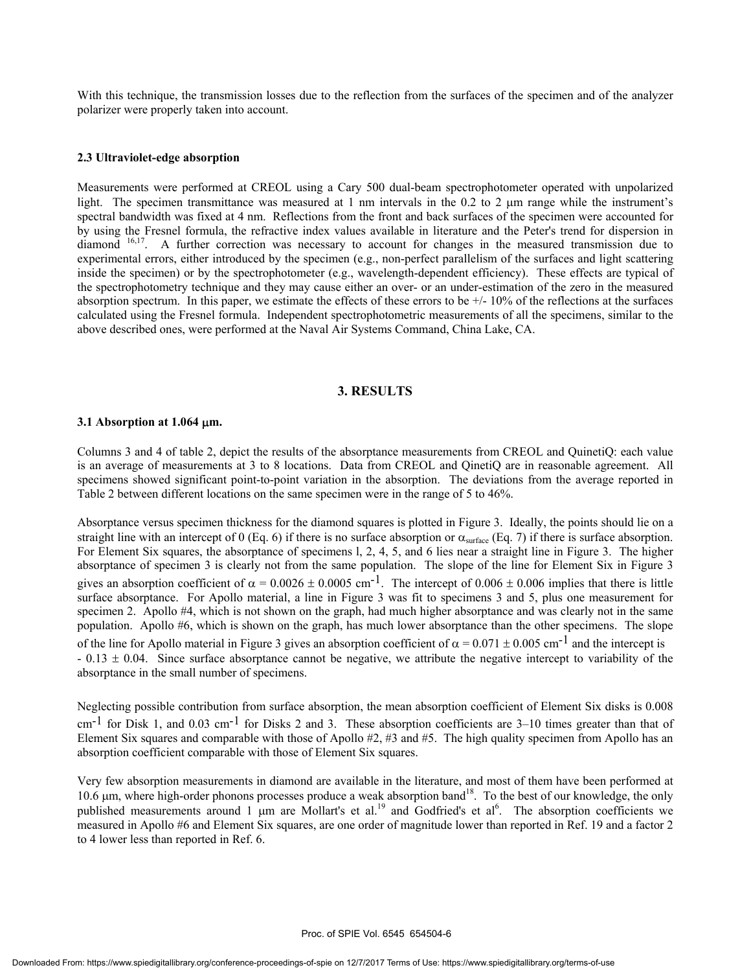With this technique, the transmission losses due to the reflection from the surfaces of the specimen and of the analyzer polarizer were properly taken into account.

#### **2.3 Ultraviolet-edge absorption**

Measurements were performed at CREOL using a Cary 500 dual-beam spectrophotometer operated with unpolarized light. The specimen transmittance was measured at 1 nm intervals in the 0.2 to 2  $\mu$ m range while the instrument's spectral bandwidth was fixed at 4 nm. Reflections from the front and back surfaces of the specimen were accounted for by using the Fresnel formula, the refractive index values available in literature and the Peter's trend for dispersion in diamond 16,17. A further correction was necessary to account for changes in the measured transmission due to experimental errors, either introduced by the specimen (e.g., non-perfect parallelism of the surfaces and light scattering inside the specimen) or by the spectrophotometer (e.g., wavelength-dependent efficiency). These effects are typical of the spectrophotometry technique and they may cause either an over- or an under-estimation of the zero in the measured absorption spectrum. In this paper, we estimate the effects of these errors to be  $+/-10\%$  of the reflections at the surfaces calculated using the Fresnel formula. Independent spectrophotometric measurements of all the specimens, similar to the above described ones, were performed at the Naval Air Systems Command, China Lake, CA.

#### **3. RESULTS**

#### **3.1 Absorption at 1.064** µ**m.**

Columns 3 and 4 of table 2, depict the results of the absorptance measurements from CREOL and QuinetiQ: each value is an average of measurements at 3 to 8 locations. Data from CREOL and QinetiQ are in reasonable agreement. All specimens showed significant point-to-point variation in the absorption. The deviations from the average reported in Table 2 between different locations on the same specimen were in the range of 5 to 46%.

Absorptance versus specimen thickness for the diamond squares is plotted in Figure 3. Ideally, the points should lie on a straight line with an intercept of 0 (Eq. 6) if there is no surface absorption or  $\alpha_{\text{surface}}$  (Eq. 7) if there is surface absorption. For Element Six squares, the absorptance of specimens l, 2, 4, 5, and 6 lies near a straight line in Figure 3. The higher absorptance of specimen 3 is clearly not from the same population. The slope of the line for Element Six in Figure 3 gives an absorption coefficient of  $\alpha = 0.0026 \pm 0.0005$  cm<sup>-1</sup>. The intercept of 0.006  $\pm$  0.006 implies that there is little surface absorptance. For Apollo material, a line in Figure 3 was fit to specimens 3 and 5, plus one measurement for specimen 2. Apollo #4, which is not shown on the graph, had much higher absorptance and was clearly not in the same population. Apollo #6, which is shown on the graph, has much lower absorptance than the other specimens. The slope of the line for Apollo material in Figure 3 gives an absorption coefficient of  $\alpha = 0.071 \pm 0.005$  cm<sup>-1</sup> and the intercept is  $-0.13 \pm 0.04$ . Since surface absorptance cannot be negative, we attribute the negative intercept to variability of the absorptance in the small number of specimens.

Neglecting possible contribution from surface absorption, the mean absorption coefficient of Element Six disks is 0.008 cm<sup>-1</sup> for Disk 1, and 0.03 cm<sup>-1</sup> for Disks 2 and 3. These absorption coefficients are 3–10 times greater than that of Element Six squares and comparable with those of Apollo #2, #3 and #5. The high quality specimen from Apollo has an absorption coefficient comparable with those of Element Six squares.

Very few absorption measurements in diamond are available in the literature, and most of them have been performed at 10.6 μm, where high-order phonons processes produce a weak absorption band<sup>18</sup>. To the best of our knowledge, the only published measurements around 1  $\mu$ m are Mollart's et al.<sup>19</sup> and Godfried's et al.<sup>6</sup>. The absorption coefficients we measured in Apollo #6 and Element Six squares, are one order of magnitude lower than reported in Ref. 19 and a factor 2 to 4 lower less than reported in Ref. 6.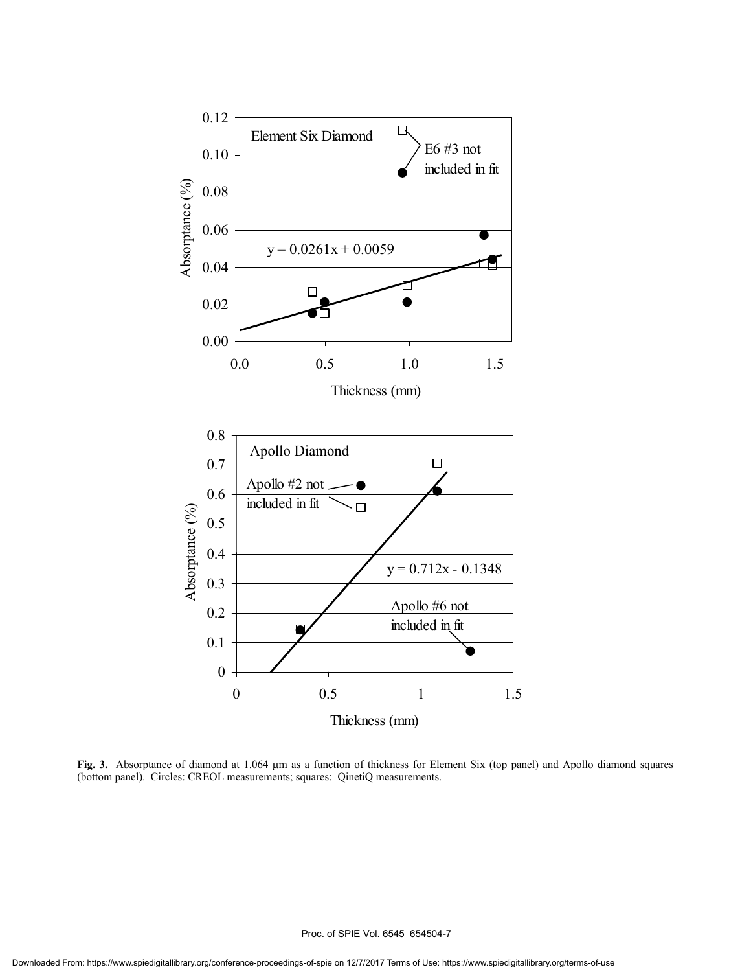

**Fig. 3.** Absorptance of diamond at 1.064 µm as a function of thickness for Element Six (top panel) and Apollo diamond squares (bottom panel). Circles: CREOL measurements; squares: QinetiQ measurements.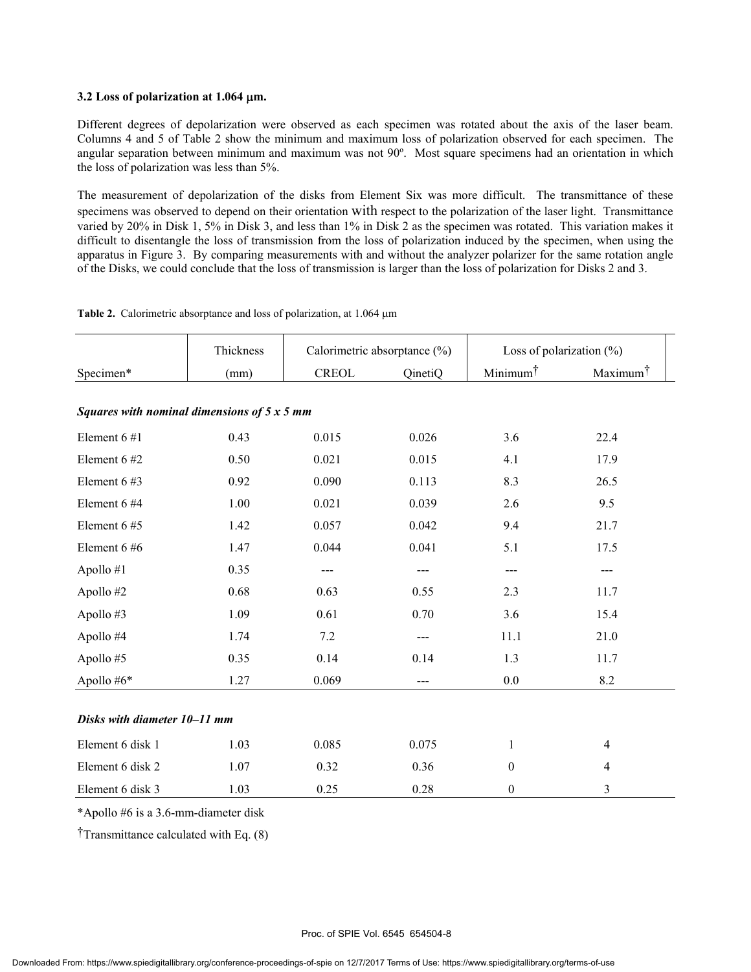#### **3.2 Loss of polarization at 1.064** µ**m.**

Different degrees of depolarization were observed as each specimen was rotated about the axis of the laser beam. Columns 4 and 5 of Table 2 show the minimum and maximum loss of polarization observed for each specimen. The angular separation between minimum and maximum was not 90º. Most square specimens had an orientation in which the loss of polarization was less than 5%.

The measurement of depolarization of the disks from Element Six was more difficult. The transmittance of these specimens was observed to depend on their orientation with respect to the polarization of the laser light. Transmittance varied by 20% in Disk 1, 5% in Disk 3, and less than 1% in Disk 2 as the specimen was rotated. This variation makes it difficult to disentangle the loss of transmission from the loss of polarization induced by the specimen, when using the apparatus in Figure 3. By comparing measurements with and without the analyzer polarizer for the same rotation angle of the Disks, we could conclude that the loss of transmission is larger than the loss of polarization for Disks 2 and 3.

|  | Table 2. Calorimetric absorptance and loss of polarization, at 1.064 µm |  |  |  |
|--|-------------------------------------------------------------------------|--|--|--|
|--|-------------------------------------------------------------------------|--|--|--|

|                              | Thickness                                          | Calorimetric absorptance (%) |         | Loss of polarization $(\%)$ |                      |  |  |  |
|------------------------------|----------------------------------------------------|------------------------------|---------|-----------------------------|----------------------|--|--|--|
| Specimen*                    | (mm)                                               | <b>CREOL</b>                 | QinetiQ | Minimum <sup>†</sup>        | Maximum <sup>†</sup> |  |  |  |
|                              |                                                    |                              |         |                             |                      |  |  |  |
|                              | Squares with nominal dimensions of $5 \times 5$ mm |                              |         |                             |                      |  |  |  |
| Element 6#1                  | 0.43                                               | 0.015                        | 0.026   | 3.6                         | 22.4                 |  |  |  |
| Element 6#2                  | 0.50                                               | 0.021                        | 0.015   | 4.1                         | 17.9                 |  |  |  |
| Element 6#3                  | 0.92                                               | 0.090                        | 0.113   | 8.3                         | 26.5                 |  |  |  |
| Element 6 #4                 | 1.00                                               | 0.021                        | 0.039   | 2.6                         | 9.5                  |  |  |  |
| Element 6#5                  | 1.42                                               | 0.057                        | 0.042   | 9.4                         | 21.7                 |  |  |  |
| Element 6#6                  | 1.47                                               | 0.044                        | 0.041   | 5.1                         | 17.5                 |  |  |  |
| Apollo #1                    | 0.35                                               | $---$                        | $---$   | ---                         | $---$                |  |  |  |
| Apollo #2                    | 0.68                                               | 0.63                         | 0.55    | 2.3                         | 11.7                 |  |  |  |
| Apollo #3                    | 1.09                                               | 0.61                         | 0.70    | 3.6                         | 15.4                 |  |  |  |
| Apollo #4                    | 1.74                                               | 7.2                          | ---     | 11.1                        | 21.0                 |  |  |  |
| Apollo #5                    | 0.35                                               | 0.14                         | 0.14    | 1.3                         | 11.7                 |  |  |  |
| Apollo #6*                   | 1.27                                               | 0.069                        | $---$   | 0.0                         | 8.2                  |  |  |  |
| Disks with diameter 10-11 mm |                                                    |                              |         |                             |                      |  |  |  |
| Element 6 disk 1             | 1.03                                               | 0.085                        | 0.075   | $\mathbf{1}$                | $\overline{4}$       |  |  |  |
| Element 6 disk 2             | 1.07                                               | 0.32                         | 0.36    | $\boldsymbol{0}$            | $\overline{4}$       |  |  |  |
| Element 6 disk 3             | 1.03                                               | 0.25                         | 0.28    | $\boldsymbol{0}$            | 3                    |  |  |  |

\*Apollo #6 is a 3.6-mm-diameter disk

†Transmittance calculated with Eq. (8)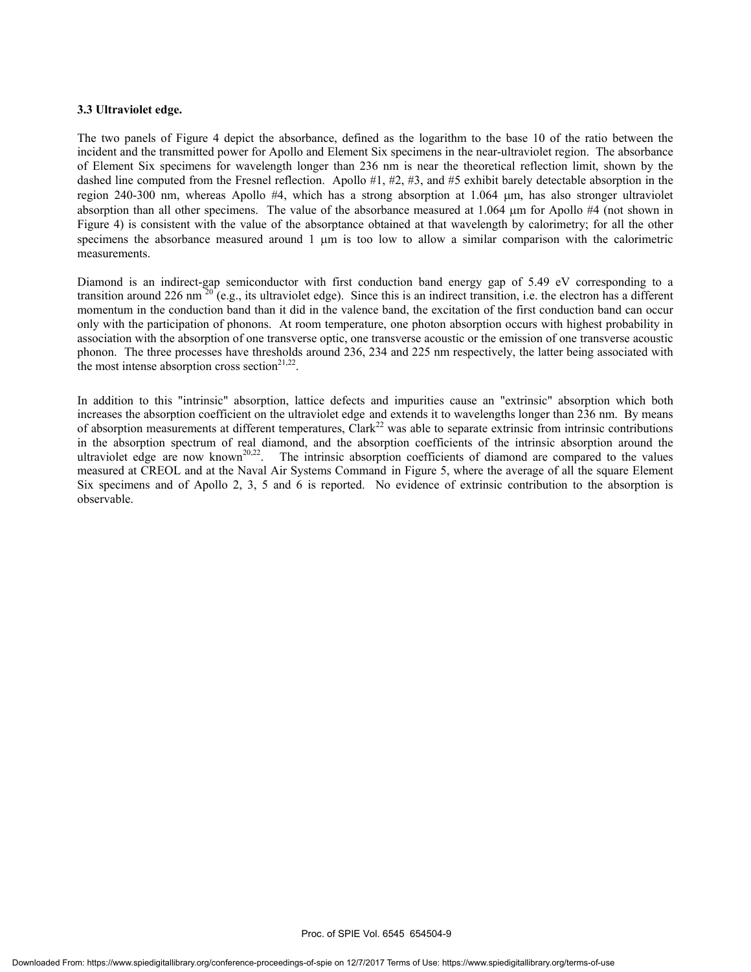#### **3.3 Ultraviolet edge.**

The two panels of Figure 4 depict the absorbance, defined as the logarithm to the base 10 of the ratio between the incident and the transmitted power for Apollo and Element Six specimens in the near-ultraviolet region. The absorbance of Element Six specimens for wavelength longer than 236 nm is near the theoretical reflection limit, shown by the dashed line computed from the Fresnel reflection. Apollo #1, #2, #3, and #5 exhibit barely detectable absorption in the region 240-300 nm, whereas Apollo #4, which has a strong absorption at 1.064 µm, has also stronger ultraviolet absorption than all other specimens. The value of the absorbance measured at  $1.064 \mu m$  for Apollo #4 (not shown in Figure 4) is consistent with the value of the absorptance obtained at that wavelength by calorimetry; for all the other specimens the absorbance measured around 1  $\mu$ m is too low to allow a similar comparison with the calorimetric measurements.

Diamond is an indirect-gap semiconductor with first conduction band energy gap of 5.49 eV corresponding to a transition around 226 nm  $^{20}$  (e.g., its ultraviolet edge). Since this is an indirect transition, i.e. the electron has a different momentum in the conduction band than it did in the valence band, the excitation of the first conduction band can occur only with the participation of phonons. At room temperature, one photon absorption occurs with highest probability in association with the absorption of one transverse optic, one transverse acoustic or the emission of one transverse acoustic phonon. The three processes have thresholds around 236, 234 and 225 nm respectively, the latter being associated with the most intense absorption cross section<sup>21,22</sup>.

In addition to this "intrinsic" absorption, lattice defects and impurities cause an "extrinsic" absorption which both increases the absorption coefficient on the ultraviolet edge and extends it to wavelengths longer than 236 nm. By means of absorption measurements at different temperatures, Clark<sup>22</sup> was able to separate extrinsic from intrinsic contributions in the absorption spectrum of real diamond, and the absorption coefficients of the intrinsic absorption around the ultraviolet edge are now known<sup>20,22</sup>. The intrinsic absorption coefficients of diamond are compared to th The intrinsic absorption coefficients of diamond are compared to the values measured at CREOL and at the Naval Air Systems Command in Figure 5, where the average of all the square Element Six specimens and of Apollo 2, 3, 5 and 6 is reported. No evidence of extrinsic contribution to the absorption is observable.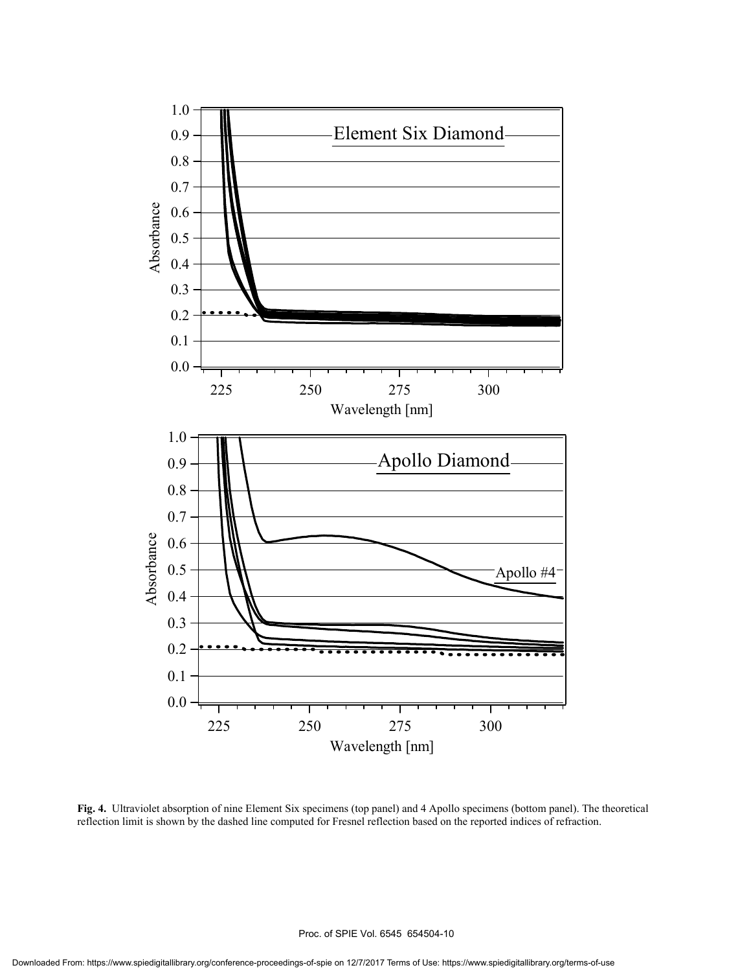

**Fig. 4.** Ultraviolet absorption of nine Element Six specimens (top panel) and 4 Apollo specimens (bottom panel). The theoretical reflection limit is shown by the dashed line computed for Fresnel reflection based on the reported indices of refraction.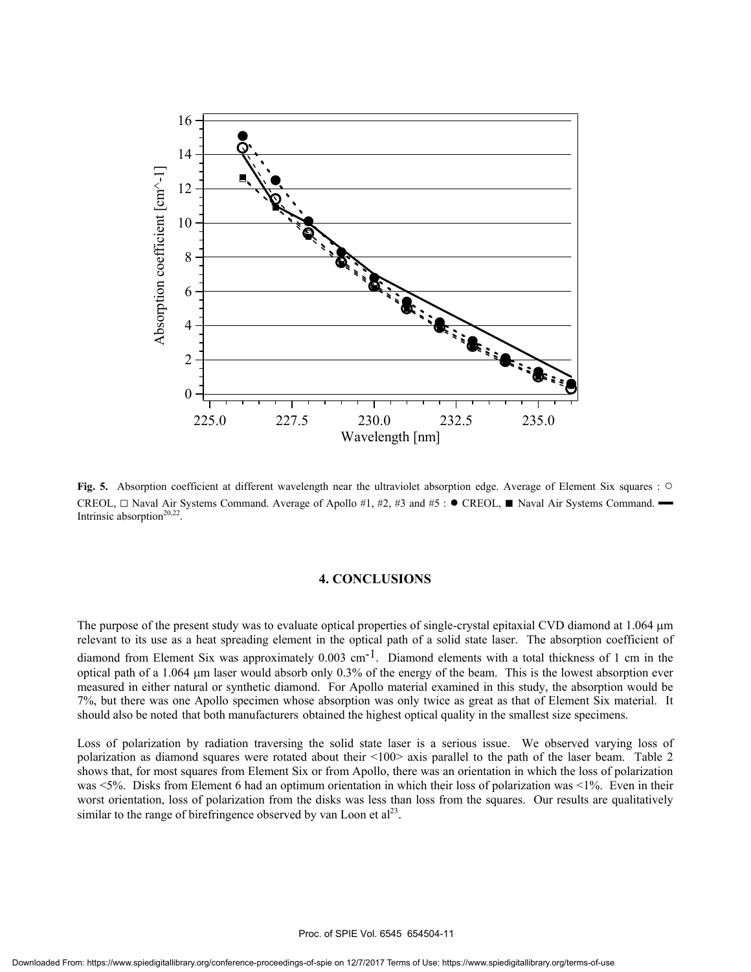

**Fig. 5.** Absorption coefficient at different wavelength near the ultraviolet absorption edge. Average of Element Six squares : ○ CREOL,  $\Box$  Naval Air Systems Command. Average of Apollo #1, #2, #3 and #5 : ● CREOL, ■ Naval Air Systems Command. ━ Intrinsic absorption<sup>20,22</sup>.

#### **4. CONCLUSIONS**

The purpose of the present study was to evaluate optical properties of single-crystal epitaxial CVD diamond at 1.064  $\mu$ m relevant to its use as a heat spreading element in the optical path of a solid state laser. The absorption coefficient of diamond from Element Six was approximately  $0.003$  cm<sup>-1</sup>. Diamond elements with a total thickness of 1 cm in the optical path of a 1.064  $\mu$ m laser would absorb only 0.3% of the energy of the beam. This is the lowest absorption ever measured in either natural or synthetic diamond. For Apollo material examined in this study, the absorption would be 7%, but there was one Apollo specimen whose absorption was only twice as great as that of Element Six material. It should also be noted that both manufacturers obtained the highest optical quality in the smallest size specimens.

Loss of polarization by radiation traversing the solid state laser is a serious issue. We observed varying loss of polarization as diamond squares were rotated about their <100> axis parallel to the path of the laser beam. Table 2 shows that, for most squares from Element Six or from Apollo, there was an orientation in which the loss of polarization was <5%. Disks from Element 6 had an optimum orientation in which their loss of polarization was <1%. Even in their worst orientation, loss of polarization from the disks was less than loss from the squares. Our results are qualitatively similar to the range of birefringence observed by van Loon et  $al<sup>23</sup>$ .